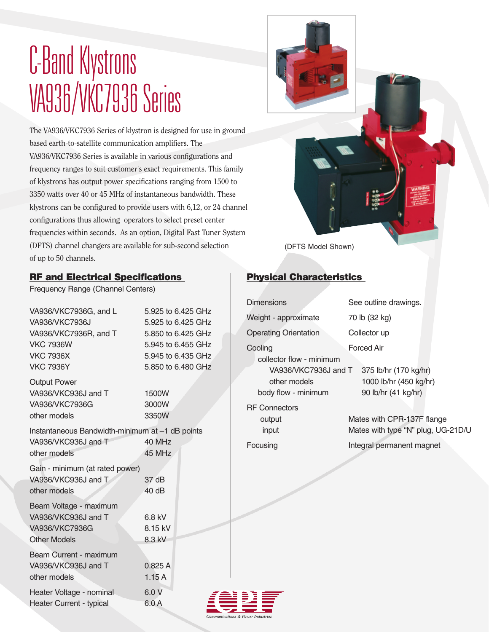## C-Band Klystrons VA936/VKC7936 Series

The VA936/VKC7936 Series of klystron is designed for use in ground based earth-to-satellite communication amplifiers. The VA936/VKC7936 Series is available in various configurations and frequency ranges to suit customer's exact requirements. This family of klystrons has output power specifications ranging from 1500 to 3350 watts over 40 or 45 MHz of instantaneous bandwidth. These klystrons can be configured to provide users with 6,12, or 24 channel configurations thus allowing operators to select preset center frequencies within seconds. As an option, Digital Fast Tuner System (DFTS) channel changers are available for sub-second selection of up to 50 channels.



### RF and Electrical Specifications

Frequency Range (Channel Centers)

| VA936/VKC7936G, and L<br>VA936/VKC7936J         | 5.925 to 6.425 GHz<br>5.925 to 6.425 GHz |
|-------------------------------------------------|------------------------------------------|
| VA936/VKC7936R, and T                           | 5.850 to 6.425 GHz                       |
| <b>VKC 7936W</b>                                | 5.945 to 6.455 GHz                       |
| <b>VKC 7936X</b>                                | 5.945 to 6.435 GHz                       |
| <b>VKC 7936Y</b>                                | 5.850 to 6.480 GHz                       |
| <b>Output Power</b>                             |                                          |
| VA936/VKC936J and T                             | 1500W                                    |
| VA936/VKC7936G                                  | 3000W                                    |
| other models                                    | 3350W                                    |
| Instantaneous Bandwidth-minimum at -1 dB points |                                          |
| VA936/VKC936J and T                             | 40 MHz                                   |
| other models                                    | 45 MHz                                   |
| Gain - minimum (at rated power)                 |                                          |
| VA936/VKC936J and T                             | 37 dB                                    |
| other models                                    | 40 dB                                    |
| Beam Voltage - maximum                          |                                          |
| VA936/VKC936J and T                             | 6.8 kV                                   |
| VA936/VKC7936G                                  | 8.15 kV                                  |
| <b>Other Models</b>                             | 8.3 kV                                   |
| Beam Current - maximum                          |                                          |
| VA936/VKC936J and T                             | 0.825A                                   |
| other models                                    | 1.15A                                    |
| Heater Voltage - nominal                        | 6.0 V                                    |
| <b>Heater Current - typical</b>                 | 6.0 A                                    |
|                                                 |                                          |

### Physical Characteristics

| <b>Dimensions</b>                                                                                  | See outline drawings.                                                                         |
|----------------------------------------------------------------------------------------------------|-----------------------------------------------------------------------------------------------|
| Weight - approximate                                                                               | 70 lb (32 kg)                                                                                 |
| <b>Operating Orientation</b>                                                                       | Collector up                                                                                  |
| Cooling<br>collector flow - minimum<br>VA936/VKC7936J and T<br>other models<br>body flow - minimum | Forced Air<br>375 lb/hr (170 kg/hr)<br>1000 lb/hr (450 kg/hr)<br>90 lb/hr (41 kg/hr)          |
| <b>RF</b> Connectors<br>output<br>input<br>Focusing                                                | Mates with CPR-137F flange<br>Mates with type "N" plug, UG-21D/U<br>Integral permanent magnet |